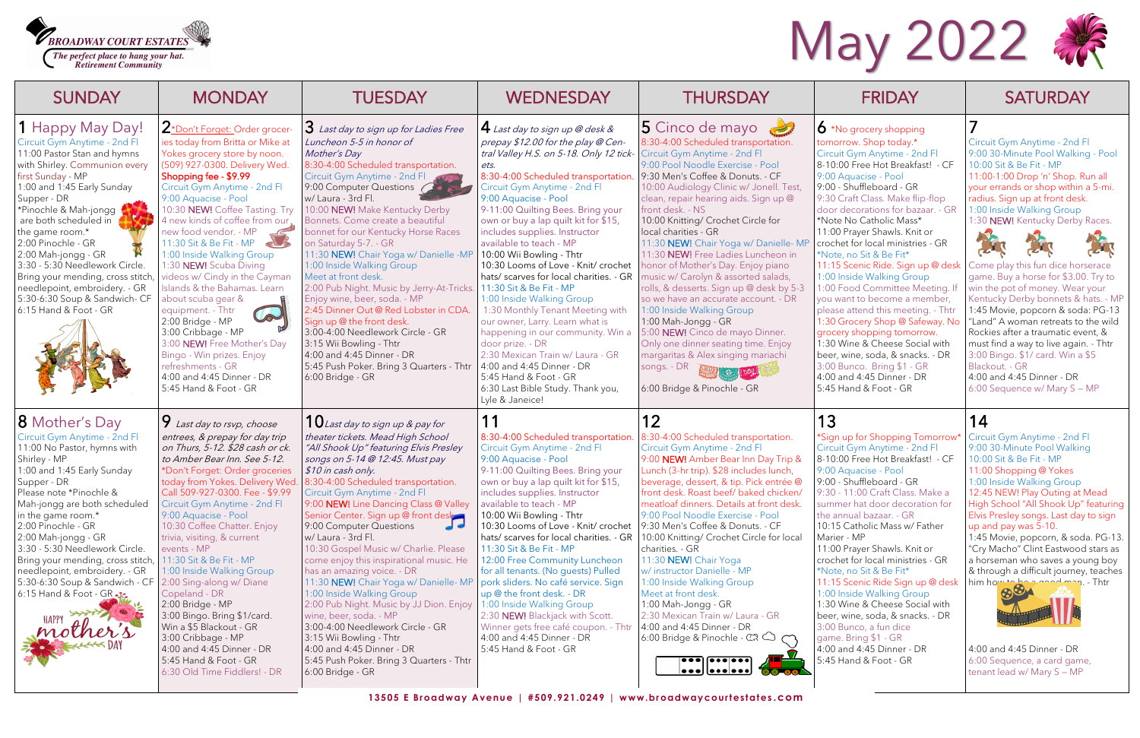Circuit Gym Anytime - 2nd Fl 9:00 30-Minute Pool Walking - Pool 10:00 Sit & Be Fit - MP 11:00-1:00 Drop 'n' Shop. Run all your errands or shop within a 5-mi. radius. Sign up at front desk. 1:00 Inside Walking Group 1:30 NEW! Kentucky Derby Races.









| <b>SUNDAY</b>                                                                                                                                                                                                                                                                                                                                                                                                                                                                 | <b>MONDAY</b>                                                                                                                                                                                                                                                                                                                                                                                                                                                                                                                                                                                                                                                                                             | <b>TUESDAY</b>                                                                                                                                                                                                                                                                                                                                                                                                                                                                                                                                                                                                                                                                                                                                                                                                                                  | <b>WEDNESDAY</b>                                                                                                                                                                                                                                                                                                                                                                                                                                                                                                                                                                                                                                                                                                                                                                                                          | <b>THURSDAY</b>                                                                                                                                                                                                                                                                                                                                                                                                                                                                                                                                                                                                                                                                                                                                                                                                                                                              | <b>FRIDAY</b>                                                                                                                                                                                                                                                                                                                                                                                                                                                                                                                                                                                                                                                                                                                                                                           | <b>SATURDAY</b>                                                                                                                                                                                                                                                                                                                                                                                                                                                                                                                                                                                                                                             |
|-------------------------------------------------------------------------------------------------------------------------------------------------------------------------------------------------------------------------------------------------------------------------------------------------------------------------------------------------------------------------------------------------------------------------------------------------------------------------------|-----------------------------------------------------------------------------------------------------------------------------------------------------------------------------------------------------------------------------------------------------------------------------------------------------------------------------------------------------------------------------------------------------------------------------------------------------------------------------------------------------------------------------------------------------------------------------------------------------------------------------------------------------------------------------------------------------------|-------------------------------------------------------------------------------------------------------------------------------------------------------------------------------------------------------------------------------------------------------------------------------------------------------------------------------------------------------------------------------------------------------------------------------------------------------------------------------------------------------------------------------------------------------------------------------------------------------------------------------------------------------------------------------------------------------------------------------------------------------------------------------------------------------------------------------------------------|---------------------------------------------------------------------------------------------------------------------------------------------------------------------------------------------------------------------------------------------------------------------------------------------------------------------------------------------------------------------------------------------------------------------------------------------------------------------------------------------------------------------------------------------------------------------------------------------------------------------------------------------------------------------------------------------------------------------------------------------------------------------------------------------------------------------------|------------------------------------------------------------------------------------------------------------------------------------------------------------------------------------------------------------------------------------------------------------------------------------------------------------------------------------------------------------------------------------------------------------------------------------------------------------------------------------------------------------------------------------------------------------------------------------------------------------------------------------------------------------------------------------------------------------------------------------------------------------------------------------------------------------------------------------------------------------------------------|-----------------------------------------------------------------------------------------------------------------------------------------------------------------------------------------------------------------------------------------------------------------------------------------------------------------------------------------------------------------------------------------------------------------------------------------------------------------------------------------------------------------------------------------------------------------------------------------------------------------------------------------------------------------------------------------------------------------------------------------------------------------------------------------|-------------------------------------------------------------------------------------------------------------------------------------------------------------------------------------------------------------------------------------------------------------------------------------------------------------------------------------------------------------------------------------------------------------------------------------------------------------------------------------------------------------------------------------------------------------------------------------------------------------------------------------------------------------|
| <b>1</b> Happy May Day!<br>Circuit Gym Anytime - 2nd Fl<br>11:00 Pastor Stan and hymns<br>with Shirley. Communion every<br>first Sunday - MP<br>1:00 and 1:45 Early Sunday<br>Supper - DR<br>*Pinochle & Mah-jongg<br>are both scheduled in<br>the game room.*<br>2:00 Pinochle - GR<br>2:00 Mah-jongg - GR<br>3:30 - 5:30 Needlework Circle.<br>Bring your mending, cross stitch,<br>needlepoint, embroidery. - GR<br>5:30-6:30 Soup & Sandwich- CF<br>6:15 Hand & Foot - GR | L*Don't Forget: Order grocer<br>ies today from Britta or Mike at<br>Yokes grocery store by noon.<br>(509) 927-0300. Delivery Wed<br>Shopping fee - \$9.99<br>Circuit Gym Anytime - 2nd Fl<br>9:00 Aquacise - Pool<br>10:30 NEW! Coffee Tasting. Try<br>4 new kinds of coffee from our<br>new food vendor. - MP<br>11:30 Sit & Be Fit - MP<br>def<br>1:00 Inside Walking Group<br>1:30 NEW! Scuba Diving<br>videos w/ Cindy in the Cayman<br>Islands & the Bahamas. Learn<br>about scuba gear &<br>equipment. - Thtr<br>W<br>2:00 Bridge - MP<br>3:00 Cribbage - MP<br>3:00 NEW! Free Mother's Day<br>Bingo - Win prizes. Enjoy<br>refreshments - GR<br>4:00 and 4:45 Dinner - DR<br>5:45 Hand & Foot - GR | <b>3</b> Last day to sign up for Ladies Free<br>Luncheon 5-5 in honor of<br>Mother's Day<br>8:30-4:00 Scheduled transportation.<br>Circuit Gym Anytime - 2nd Fl<br>9:00 Computer Questions (<br>w/ Laura - 3rd Fl.<br>10:00 NEW! Make Kentucky Derby<br>Bonnets. Come create a beautiful<br>bonnet for our Kentucky Horse Races<br>on Saturday 5-7. - GR<br>11:30 NEW! Chair Yoga w/ Danielle -MP<br>1:00 Inside Walking Group<br>Meet at front desk.<br>2:00 Pub Night. Music by Jerry-At-Tricks.<br>Enjoy wine, beer, soda. - MP<br>2:45 Dinner Out @ Red Lobster in CDA.<br>Sign up @ the front desk.<br>3:00-4:00 Needlework Circle - GR<br>3:15 Wii Bowling - Thtr<br>4:00 and 4:45 Dinner - DR<br>5:45 Push Poker. Bring 3 Quarters - Thtr<br>6:00 Bridge - GR                                                                            | $4$ Last day to sign up @ desk &<br>prepay \$12.00 for the play @ Cen-<br>tral Valley H.S. on 5-18. Only 12 tick-<br>ets.<br>8:30-4:00 Scheduled transportation.<br>Circuit Gym Anytime - 2nd Fl<br>9:00 Aquacise - Pool<br>9-11:00 Quilting Bees. Bring your<br>own or buy a lap quilt kit for \$15,<br>includes supplies. Instructor<br>available to teach - MP<br>10:00 Wii Bowling - Thtr<br>10:30 Looms of Love - Knit/ crochet<br>hats/ scarves for local charities. - GR<br>11:30 Sit & Be Fit - MP<br>1:00 Inside Walking Group<br>1:30 Monthly Tenant Meeting with<br>our owner, Larry. Learn what is<br>happening in our community. Win a<br>door prize. - DR<br>2:30 Mexican Train w/ Laura - GR<br>4:00 and 4:45 Dinner - DR<br>5:45 Hand & Foot - GR<br>6:30 Last Bible Study. Thank you,<br>Lyle & Janeice! | 5 Cinco de mayo<br>8:30-4:00 Scheduled transportation.<br>Circuit Gym Anytime - 2nd Fl<br>9:00 Pool Noodle Exercise - Pool<br>9:30 Men's Coffee & Donuts. - CF<br>10:00 Audiology Clinic w/ Jonell. Test,<br>clean, repair hearing aids. Sign up @<br>front desk. - NS<br>10:00 Knitting/ Crochet Circle for<br>local charities - GR<br>11:30 NEW! Chair Yoga w/ Danielle- MP<br>11:30 NEW! Free Ladies Luncheon in<br>honor of Mother's Day. Enjoy piano<br>music w/ Carolyn & assorted salads,<br>rolls, & desserts. Sign up @ desk by 5-3<br>so we have an accurate account. - DR<br>1:00 Inside Walking Group<br>1:00 Mah-Jongg - GR<br>5:00 NEW! Cinco de mayo Dinner.<br>Only one dinner seating time. Enjoy<br>margaritas & Alex singing mariachi<br>songs. - DR<br>6:00 Bridge & Pinochle - GR                                                                       | $\bullet$ *No grocery shopping<br>tomorrow. Shop today.*<br>Circuit Gym Anytime - 2nd Fl<br>8-10:00 Free Hot Breakfast! - CF<br>9:00 Aquacise - Pool<br>9:00 - Shuffleboard - GR<br>9:30 Craft Class. Make flip-flop<br>door decorations for bazaar. - GR<br>*Note No Catholic Mass*<br>11:00 Prayer Shawls. Knit or<br>crochet for local ministries - GR<br>*Note, no Sit & Be Fit*<br>11:15 Scenic Ride. Sign up @ desk<br>1:00 Inside Walking Group<br>1:00 Food Committee Meeting.<br>you want to become a member,<br>please attend this meeting. - Thtr<br>1:30 Grocery Shop @ Safeway. No<br>grocery shopping tomorrow.<br>1:30 Wine & Cheese Social with<br>beer, wine, soda, & snacks. - DR<br>3:00 Bunco. Bring \$1 - GR<br>4:00 and 4:45 Dinner - DR<br>5:45 Hand & Foot - GR | Circuit Gym Anytime - 2nd Fl<br>9:00 30-Minute Pool Walking<br>10:00 Sit & Be Fit - MP<br>11:00-1:00 Drop 'n' Shop. Rur<br>your errands or shop within a<br>radius. Sign up at front desk.<br>1:00 Inside Walking Group<br>1:30 NEW! Kentucky Derby Ra<br>College<br>Come play this fun dice horse<br>game. Buy a horse for \$3.00.<br>win the pot of money. Wear yo<br>Kentucky Derby bonnets & ha<br>1:45 Movie, popcorn & soda:<br>"Land" A woman retreats to th<br>Rockies after a traumatic even<br>must find a way to live again. -<br>3:00 Bingo. \$1/ card. Win a \$!<br>Blackout. - GR<br>4:00 and 4:45 Dinner - DR<br>6:00 Sequence w/ Mary S - M |
| <b>8</b> Mother's Day<br>Circuit Gym Anytime - 2nd Fl<br>11:00 No Pastor, hymns with<br>Shirley - MP<br>1:00 and 1:45 Early Sunday<br>Supper - DR<br>Please note *Pinochle &<br>Mah-jongg are both scheduled<br>in the game room.*<br>2:00 Pinochle - GR<br>2:00 Mah-jongg - GR<br>3:30 - 5:30 Needlework Circle.<br>Bring your mending, cross stitch,<br>needlepoint, embroidery. - GR<br>5:30-6:30 Soup & Sandwich - CF<br>6:15 Hand & Foot - GR $\cdot$<br><b>HAPPY</b>    | <i>A</i> Last day to rsvp, choose<br>entrees, & prepay for day trip<br>on Thurs, 5-12. \$28 cash or ck.<br>to Amber Bear Inn. See 5-12.<br>*Don't Forget: Order groceries<br>today from Yokes. Delivery Wed<br>Call 509-927-0300. Fee - \$9.99<br>Circuit Gym Anytime - 2nd Fl<br>9:00 Aquacise - Pool<br>10:30 Coffee Chatter. Enjoy<br>trivia, visiting, & current<br>events - MP<br>11:30 Sit & Be Fit - MP<br>1:00 Inside Walking Group<br>2:00 Sing-along w/ Diane<br>Copeland - DR<br>2:00 Bridge - MP<br>3:00 Bingo. Bring \$1/card.<br>Win a \$5 Blackout - GR<br>3:00 Cribbage - MP<br>4:00 and 4:45 Dinner - DR<br>5:45 Hand & Foot - GR<br>6:30 Old Time Fiddlers! - DR                        | $\mathbf{U}$ Last day to sign up & pay for<br>theater tickets. Mead High School<br>"All Shook Up" featuring Elvis Presley<br>songs on 5-14 @ 12:45. Must pay<br>\$10 in cash only.<br>8:30-4:00 Scheduled transportation.<br>Circuit Gym Anytime - 2nd Fl<br>9:00 NEW! Line Dancing Class @ Valley<br>Senior Center. Sign up @ front desk<br>$\overline{\phantom{a}}$<br>9:00 Computer Questions<br>w/ Laura - 3rd Fl.<br>10:30 Gospel Music w/ Charlie. Please<br>come enjoy this inspirational music. He<br>has an amazing voice. - DR<br>11:30 NEW! Chair Yoga w/ Danielle- MP<br>1:00 Inside Walking Group<br>2:00 Pub Night. Music by JJ Dion. Enjoy<br>wine, beer, soda. - MP<br>3:00-4:00 Needlework Circle - GR<br>3:15 Wii Bowling - Thtr<br>4:00 and 4:45 Dinner - DR<br>5:45 Push Poker. Bring 3 Quarters - Thtr<br>6:00 Bridge - GR | 11<br>8:30-4:00 Scheduled transportation.<br>Circuit Gym Anytime - 2nd Fl<br>9:00 Aquacise - Pool<br>9-11:00 Quilting Bees. Bring your<br>own or buy a lap quilt kit for \$15,<br>includes supplies. Instructor<br>available to teach - MP<br>10:00 Wii Bowling - Thtr<br>10:30 Looms of Love - Knit/ crochet<br>hats/ scarves for local charities. - GR<br>11:30 Sit & Be Fit - MP<br>12:00 Free Community Luncheon<br>for all tenants. (No guests) Pulled<br>pork sliders. No café service. Sign<br>up @ the front desk. - DR<br>1:00 Inside Walking Group<br>2:30 NEW! Blackjack with Scott.<br>Winner gets free café coupon. - Thtr<br>4:00 and 4:45 Dinner - DR<br>5:45 Hand & Foot - GR                                                                                                                             | 12<br>8:30-4:00 Scheduled transportation.<br>Circuit Gym Anytime - 2nd Fl<br>9:00 NEW! Amber Bear Inn Day Trip &<br>Lunch (3-hr trip). \$28 includes lunch,<br>beverage, dessert, & tip. Pick entrée @<br>front desk. Roast beef/ baked chicken/<br>meatloaf dinners. Details at front desk.<br>9:00 Pool Noodle Exercise - Pool<br>9:30 Men's Coffee & Donuts. - CF<br>10:00 Knitting/ Crochet Circle for local<br>charities. - GR<br>11:30 NEW! Chair Yoga<br>w/ instructor Danielle - MP<br>1:00 Inside Walking Group<br>Meet at front desk.<br>1:00 Mah-Jongg - GR<br>2:30 Mexican Train w/ Laura - GR<br>4:00 and 4:45 Dinner - DR<br>6:00 Bridge & Pinochle - $\mathbb{C} \mathcal{R}$ $\mathbb{C}$<br>$\bullet\bullet\bullet]$ $\bullet\bullet\bullet  \bullet\bullet\bullet]$<br>$  \bullet \bullet \bullet     \bullet \bullet \bullet   \bullet \bullet \bullet  $ | 13<br>*Sign up for Shopping Tomorrow*<br>Circuit Gym Anytime - 2nd Fl<br>8-10:00 Free Hot Breakfast! - CF<br>9:00 Aquacise - Pool<br>9:00 - Shuffleboard - GR<br>9:30 - 11:00 Craft Class. Make a<br>summer hat door decoration for<br>the annual bazaar. - GR<br>10:15 Catholic Mass w/ Father<br>Marier - MP<br>11:00 Prayer Shawls. Knit or<br>crochet for local ministries - GR<br>*Note, no Sit & Be Fit*<br>11:15 Scenic Ride Sign up @ desk   him how to be<br>1:00 Inside Walking Group<br>1:30 Wine & Cheese Social with<br>beer, wine, soda, & snacks. - DR<br>3:00 Bunco, a fun dice<br>game. Bring \$1 - GR<br>4:00 and 4:45 Dinner - DR<br>5:45 Hand & Foot - GR                                                                                                           | 14<br>Circuit Gym Anytime - 2nd Fl<br>9:00 30-Minute Pool Walking<br>10:00 Sit & Be Fit - MP<br>11:00 Shopping @ Yokes<br>1:00 Inside Walking Group<br>12:45 NEW! Play Outing at Me<br>High School "All Shook Up" fe<br>Elvis Presley songs. Last day to<br>up and pay was 5-10.<br>1:45 Movie, popcorn, & soda.<br>"Cry Macho" Clint Eastwood s<br>a horseman who saves a youn<br>& through a difficult journey, t<br>4:00 and 4:45 Dinner - DR<br>6:00 Sequence, a card game,<br>tenant lead w/ Mary S - MP                                                                                                                                               |

Come play this fun dice horserace game. Buy a horse for \$3.00. Try to win the pot of money. Wear your Kentucky Derby bonnets & hats. - MP 1:45 Movie, popcorn & soda: PG-13 "Land" A woman retreats to the wild Rockies after a traumatic event, & must find a way to live again. - Thtr 3:00 Bingo. \$1/ card. Win a \$5 Blackout. - GR

4:00 and 4:45 Dinner - DR 6:00 Sequence w/ Mary S — MP

1:45 Movie, popcorn, & soda. PG-13. "Cry Macho" Clint Eastwood stars as a horseman who saves a young boy & through a difficult journey, teaches him how to be a good man. - Thtr



Circuit Gym Anytime - 2nd Fl 9:00 30-Minute Pool Walking 10:00 Sit & Be Fit - MP 11:00 Shopping @ Yokes 1:00 Inside Walking Group 12:45 NEW! Play Outing at Mead High School "All Shook Up" featuring Elvis Presley songs. Last day to sign up and pay was 5-10.

## May 2022